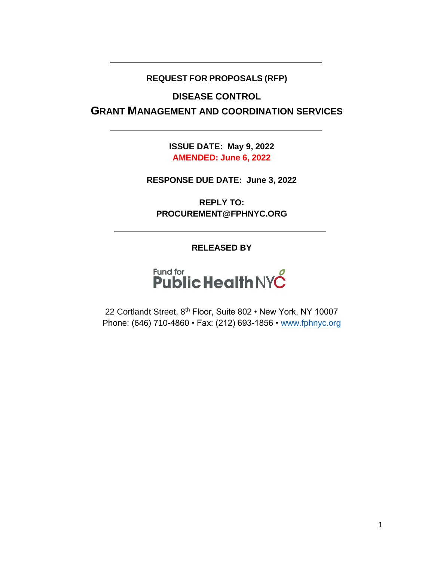#### **REQUEST FOR PROPOSALS (RFP)**

**DISEASE CONTROL** 

**GRANT MANAGEMENT AND COORDINATION SERVICES**

**ISSUE DATE: May 9, 2022 AMENDED: June 6, 2022**

**RESPONSE DUE DATE: June 3, 2022**

**REPLY TO: PROCUREMENT@FPHNYC.ORG**

**RELEASED BY**

# Fund for<br>**Public Health NYC**

22 Cortlandt Street, 8<sup>th</sup> Floor, Suite 802 • New York, NY 10007 Phone: (646) 710-4860 • Fax: (212) 693-1856 • [www.fphnyc.org](http://www.fphnyc.org/)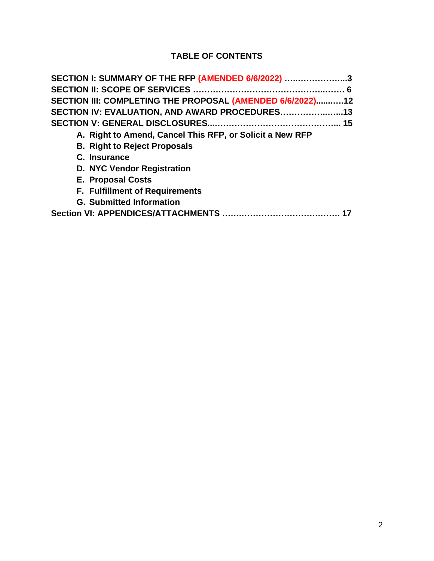# **TABLE OF CONTENTS**

| SECTION I: SUMMARY OF THE RFP (AMENDED 6/6/2022) 3        |  |
|-----------------------------------------------------------|--|
|                                                           |  |
| SECTION III: COMPLETING THE PROPOSAL (AMENDED 6/6/2022)12 |  |
| SECTION IV: EVALUATION, AND AWARD PROCEDURES13            |  |
|                                                           |  |
| A. Right to Amend, Cancel This RFP, or Solicit a New RFP  |  |
| <b>B. Right to Reject Proposals</b>                       |  |
| C. Insurance                                              |  |
| <b>D. NYC Vendor Registration</b>                         |  |
| <b>E. Proposal Costs</b>                                  |  |
| <b>F. Fulfillment of Requirements</b>                     |  |
| <b>G. Submitted Information</b>                           |  |
|                                                           |  |
|                                                           |  |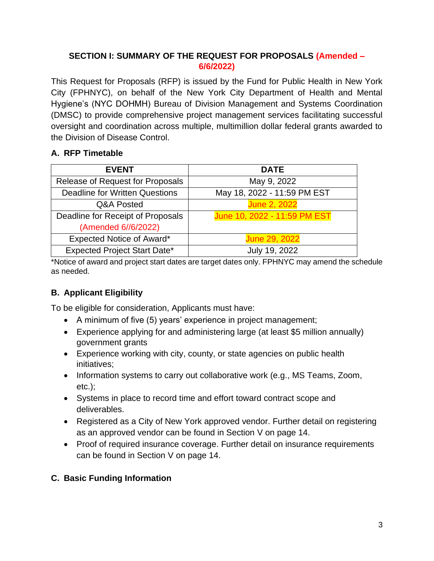### **SECTION I: SUMMARY OF THE REQUEST FOR PROPOSALS (Amended – 6/6/2022)**

This Request for Proposals (RFP) is issued by the Fund for Public Health in New York City (FPHNYC), on behalf of the New York City Department of Health and Mental Hygiene's (NYC DOHMH) Bureau of Division Management and Systems Coordination (DMSC) to provide comprehensive project management services facilitating successful oversight and coordination across multiple, multimillion dollar federal grants awarded to the Division of Disease Control.

## **A. RFP Timetable**

| <b>EVENT</b>                          | <b>DATE</b>                  |
|---------------------------------------|------------------------------|
| Release of Request for Proposals      | May 9, 2022                  |
| <b>Deadline for Written Questions</b> | May 18, 2022 - 11:59 PM EST  |
| Q&A Posted                            | <b>June 2, 2022</b>          |
| Deadline for Receipt of Proposals     | June 10, 2022 - 11:59 PM EST |
| (Amended 6//6/2022)                   |                              |
| Expected Notice of Award*             | June 29, 2022                |
| <b>Expected Project Start Date*</b>   | July 19, 2022                |

\*Notice of award and project start dates are target dates only. FPHNYC may amend the schedule as needed.

# **B. Applicant Eligibility**

To be eligible for consideration, Applicants must have:

- A minimum of five (5) years' experience in project management;
- Experience applying for and administering large (at least \$5 million annually) government grants
- Experience working with city, county, or state agencies on public health initiatives;
- Information systems to carry out collaborative work (e.g., MS Teams, Zoom, etc.);
- Systems in place to record time and effort toward contract scope and deliverables.
- Registered as a City of New York approved vendor. Further detail on registering as an approved vendor can be found in Section V on page 14.
- Proof of required insurance coverage. Further detail on insurance requirements can be found in Section V on page 14.

## **C. Basic Funding Information**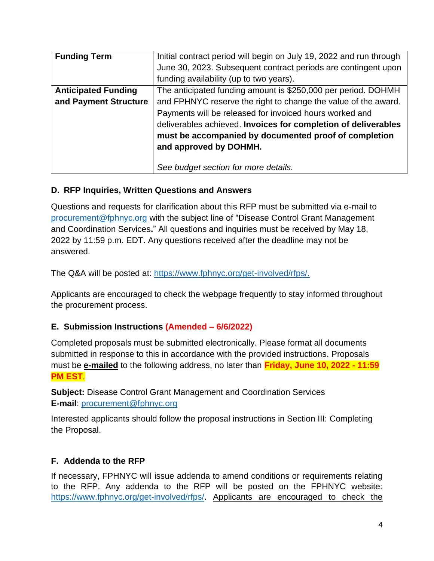| <b>Funding Term</b>        | Initial contract period will begin on July 19, 2022 and run through |
|----------------------------|---------------------------------------------------------------------|
|                            | June 30, 2023. Subsequent contract periods are contingent upon      |
|                            | funding availability (up to two years).                             |
| <b>Anticipated Funding</b> | The anticipated funding amount is \$250,000 per period. DOHMH       |
| and Payment Structure      | and FPHNYC reserve the right to change the value of the award.      |
|                            | Payments will be released for invoiced hours worked and             |
|                            | deliverables achieved. Invoices for completion of deliverables      |
|                            | must be accompanied by documented proof of completion               |
|                            | and approved by DOHMH.                                              |
|                            |                                                                     |
|                            | See budget section for more details.                                |

#### **D. RFP Inquiries, Written Questions and Answers**

Questions and requests for clarification about this RFP must be submitted via e-mail to [procurement@fphnyc.org](mailto:procurement@fphnyc.org) with the subject line of "Disease Control Grant Management and Coordination Services**.**" All questions and inquiries must be received by May 18, 2022 by 11:59 p.m. EDT. Any questions received after the deadline may not be answered.

The Q&A will be posted at: [https://www.fphnyc.org/get-involved/rfps/.](https://www.fphnyc.org/get-involved/rfps/)

Applicants are encouraged to check the webpage frequently to stay informed throughout the procurement process.

## **E. Submission Instructions (Amended – 6/6/2022)**

Completed proposals must be submitted electronically. Please format all documents submitted in response to this in accordance with the provided instructions. Proposals must be **e-mailed** to the following address, no later than **Friday, June 10, 2022 - 11:59 PM EST**.

**Subject:** Disease Control Grant Management and Coordination Services **E-mail**: [procurement@fphnyc.org](mailto:aholland@fphnyc.org)

Interested applicants should follow the proposal instructions in Section III: Completing the Proposal.

## **F. Addenda to the RFP**

If necessary, FPHNYC will issue addenda to amend conditions or requirements relating to the RFP. Any addenda to the RFP will be posted on the FPHNYC website: [https://www.fphnyc.org/get-involved/rfps/.](https://www.fphnyc.org/get-involved/rfps/) Applicants are encouraged to check the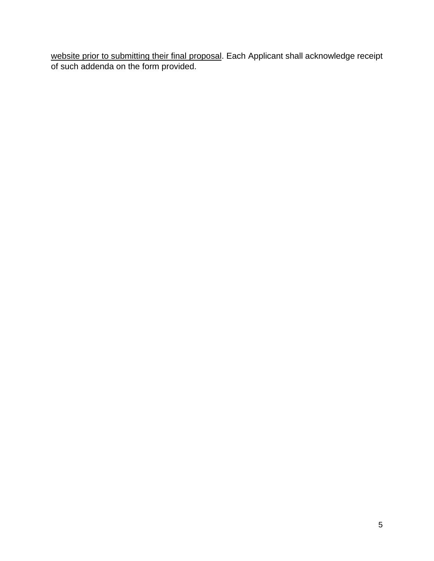website prior to submitting their final proposal. Each Applicant shall acknowledge receipt of such addenda on the form provided.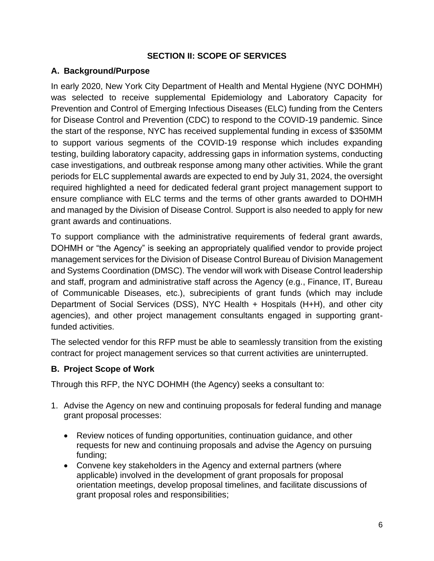#### **SECTION II: SCOPE OF SERVICES**

#### **A. Background/Purpose**

In early 2020, New York City Department of Health and Mental Hygiene (NYC DOHMH) was selected to receive supplemental Epidemiology and Laboratory Capacity for Prevention and Control of Emerging Infectious Diseases (ELC) funding from the Centers for Disease Control and Prevention (CDC) to respond to the COVID-19 pandemic. Since the start of the response, NYC has received supplemental funding in excess of \$350MM to support various segments of the COVID-19 response which includes expanding testing, building laboratory capacity, addressing gaps in information systems, conducting case investigations, and outbreak response among many other activities. While the grant periods for ELC supplemental awards are expected to end by July 31, 2024, the oversight required highlighted a need for dedicated federal grant project management support to ensure compliance with ELC terms and the terms of other grants awarded to DOHMH and managed by the Division of Disease Control. Support is also needed to apply for new grant awards and continuations.

To support compliance with the administrative requirements of federal grant awards, DOHMH or "the Agency" is seeking an appropriately qualified vendor to provide project management services for the Division of Disease Control Bureau of Division Management and Systems Coordination (DMSC). The vendor will work with Disease Control leadership and staff, program and administrative staff across the Agency (e.g., Finance, IT, Bureau of Communicable Diseases, etc.), subrecipients of grant funds (which may include Department of Social Services (DSS), NYC Health + Hospitals (H+H), and other city agencies), and other project management consultants engaged in supporting grantfunded activities.

The selected vendor for this RFP must be able to seamlessly transition from the existing contract for project management services so that current activities are uninterrupted.

#### **B. Project Scope of Work**

Through this RFP, the NYC DOHMH (the Agency) seeks a consultant to:

- 1. Advise the Agency on new and continuing proposals for federal funding and manage grant proposal processes:
	- Review notices of funding opportunities, continuation guidance, and other requests for new and continuing proposals and advise the Agency on pursuing funding;
	- Convene key stakeholders in the Agency and external partners (where applicable) involved in the development of grant proposals for proposal orientation meetings, develop proposal timelines, and facilitate discussions of grant proposal roles and responsibilities;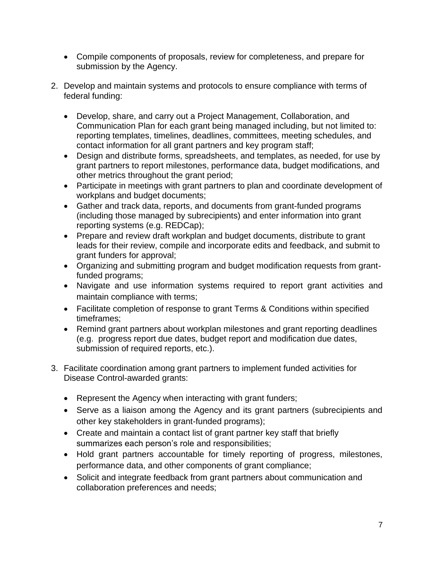- Compile components of proposals, review for completeness, and prepare for submission by the Agency.
- 2. Develop and maintain systems and protocols to ensure compliance with terms of federal funding:
	- Develop, share, and carry out a Project Management, Collaboration, and Communication Plan for each grant being managed including, but not limited to: reporting templates, timelines, deadlines, committees, meeting schedules, and contact information for all grant partners and key program staff;
	- Design and distribute forms, spreadsheets, and templates, as needed, for use by grant partners to report milestones, performance data, budget modifications, and other metrics throughout the grant period;
	- Participate in meetings with grant partners to plan and coordinate development of workplans and budget documents;
	- Gather and track data, reports, and documents from grant-funded programs (including those managed by subrecipients) and enter information into grant reporting systems (e.g. REDCap);
	- Prepare and review draft workplan and budget documents, distribute to grant leads for their review, compile and incorporate edits and feedback, and submit to grant funders for approval;
	- Organizing and submitting program and budget modification requests from grantfunded programs;
	- Navigate and use information systems required to report grant activities and maintain compliance with terms;
	- Facilitate completion of response to grant Terms & Conditions within specified timeframes;
	- Remind grant partners about workplan milestones and grant reporting deadlines (e.g. progress report due dates, budget report and modification due dates, submission of required reports, etc.).
- 3. Facilitate coordination among grant partners to implement funded activities for Disease Control-awarded grants:
	- Represent the Agency when interacting with grant funders;
	- Serve as a liaison among the Agency and its grant partners (subrecipients and other key stakeholders in grant-funded programs);
	- Create and maintain a contact list of grant partner key staff that briefly summarizes each person's role and responsibilities;
	- Hold grant partners accountable for timely reporting of progress, milestones, performance data, and other components of grant compliance;
	- Solicit and integrate feedback from grant partners about communication and collaboration preferences and needs;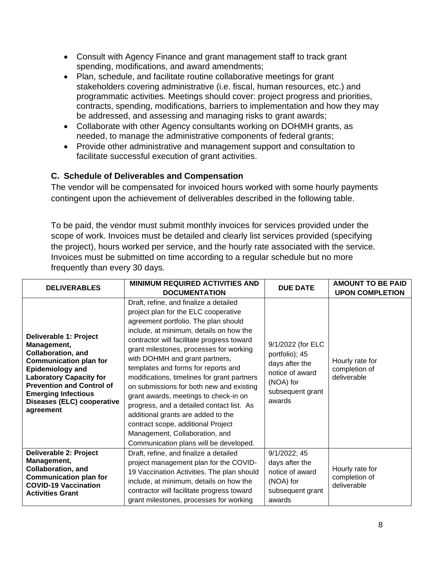- Consult with Agency Finance and grant management staff to track grant spending, modifications, and award amendments;
- Plan, schedule, and facilitate routine collaborative meetings for grant stakeholders covering administrative (i.e. fiscal, human resources, etc.) and programmatic activities. Meetings should cover: project progress and priorities, contracts, spending, modifications, barriers to implementation and how they may be addressed, and assessing and managing risks to grant awards;
- Collaborate with other Agency consultants working on DOHMH grants, as needed, to manage the administrative components of federal grants;
- Provide other administrative and management support and consultation to facilitate successful execution of grant activities.

#### **C. Schedule of Deliverables and Compensation**

The vendor will be compensated for invoiced hours worked with some hourly payments contingent upon the achievement of deliverables described in the following table.

To be paid, the vendor must submit monthly invoices for services provided under the scope of work. Invoices must be detailed and clearly list services provided (specifying the project), hours worked per service, and the hourly rate associated with the service. Invoices must be submitted on time according to a regular schedule but no more frequently than every 30 days.

| <b>DELIVERABLES</b>                                                                                                                                                                                                                                                           | <b>MINIMUM REQUIRED ACTIVITIES AND</b><br><b>DOCUMENTATION</b>                                                                                                                                                                                                                                                                                                                                                                                                                                                                                                                                                                                                               | <b>DUE DATE</b>                                                                                                     | <b>AMOUNT TO BE PAID</b><br><b>UPON COMPLETION</b> |
|-------------------------------------------------------------------------------------------------------------------------------------------------------------------------------------------------------------------------------------------------------------------------------|------------------------------------------------------------------------------------------------------------------------------------------------------------------------------------------------------------------------------------------------------------------------------------------------------------------------------------------------------------------------------------------------------------------------------------------------------------------------------------------------------------------------------------------------------------------------------------------------------------------------------------------------------------------------------|---------------------------------------------------------------------------------------------------------------------|----------------------------------------------------|
| Deliverable 1: Project<br>Management,<br><b>Collaboration, and</b><br><b>Communication plan for</b><br><b>Epidemiology and</b><br><b>Laboratory Capacity for</b><br><b>Prevention and Control of</b><br><b>Emerging Infectious</b><br>Diseases (ELC) cooperative<br>agreement | Draft, refine, and finalize a detailed<br>project plan for the ELC cooperative<br>agreement portfolio. The plan should<br>include, at minimum, details on how the<br>contractor will facilitate progress toward<br>grant milestones, processes for working<br>with DOHMH and grant partners,<br>templates and forms for reports and<br>modifications, timelines for grant partners<br>on submissions for both new and existing<br>grant awards, meetings to check-in on<br>progress, and a detailed contact list. As<br>additional grants are added to the<br>contract scope, additional Project<br>Management, Collaboration, and<br>Communication plans will be developed. | 9/1/2022 (for ELC<br>portfolio); 45<br>days after the<br>notice of award<br>(NOA) for<br>subsequent grant<br>awards | Hourly rate for<br>completion of<br>deliverable    |
| Deliverable 2: Project<br>Management,<br><b>Collaboration, and</b><br><b>Communication plan for</b><br><b>COVID-19 Vaccination</b><br><b>Activities Grant</b>                                                                                                                 | Draft, refine, and finalize a detailed<br>project management plan for the COVID-<br>19 Vaccination Activities. The plan should<br>include, at minimum, details on how the<br>contractor will facilitate progress toward<br>grant milestones, processes for working                                                                                                                                                                                                                                                                                                                                                                                                           | 9/1/2022; 45<br>days after the<br>notice of award<br>(NOA) for<br>subsequent grant<br>awards                        | Hourly rate for<br>completion of<br>deliverable    |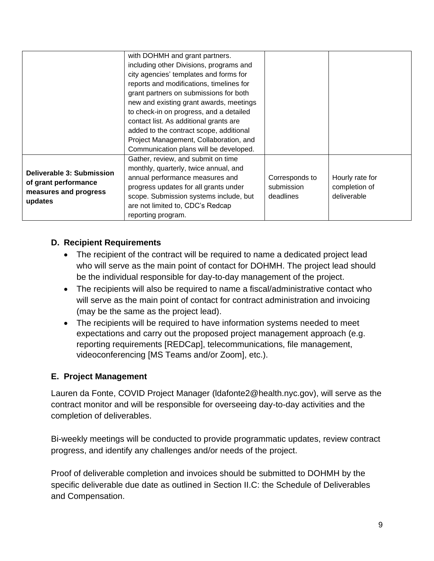|                                                                                       | with DOHMH and grant partners.<br>including other Divisions, programs and<br>city agencies' templates and forms for<br>reports and modifications, timelines for<br>grant partners on submissions for both<br>new and existing grant awards, meetings<br>to check-in on progress, and a detailed<br>contact list. As additional grants are<br>added to the contract scope, additional<br>Project Management, Collaboration, and |                                           |                                                 |
|---------------------------------------------------------------------------------------|--------------------------------------------------------------------------------------------------------------------------------------------------------------------------------------------------------------------------------------------------------------------------------------------------------------------------------------------------------------------------------------------------------------------------------|-------------------------------------------|-------------------------------------------------|
| Deliverable 3: Submission<br>of grant performance<br>measures and progress<br>updates | Communication plans will be developed.<br>Gather, review, and submit on time<br>monthly, quarterly, twice annual, and<br>annual performance measures and<br>progress updates for all grants under<br>scope. Submission systems include, but<br>are not limited to, CDC's Redcap<br>reporting program.                                                                                                                          | Corresponds to<br>submission<br>deadlines | Hourly rate for<br>completion of<br>deliverable |

## **D. Recipient Requirements**

- The recipient of the contract will be required to name a dedicated project lead who will serve as the main point of contact for DOHMH. The project lead should be the individual responsible for day-to-day management of the project.
- The recipients will also be required to name a fiscal/administrative contact who will serve as the main point of contact for contract administration and invoicing (may be the same as the project lead).
- The recipients will be required to have information systems needed to meet expectations and carry out the proposed project management approach (e.g. reporting requirements [REDCap], telecommunications, file management, videoconferencing [MS Teams and/or Zoom], etc.).

## **E. Project Management**

Lauren da Fonte, COVID Project Manager (ldafonte2@health.nyc.gov), will serve as the contract monitor and will be responsible for overseeing day-to-day activities and the completion of deliverables.

Bi-weekly meetings will be conducted to provide programmatic updates, review contract progress, and identify any challenges and/or needs of the project.

Proof of deliverable completion and invoices should be submitted to DOHMH by the specific deliverable due date as outlined in Section II.C: the Schedule of Deliverables and Compensation.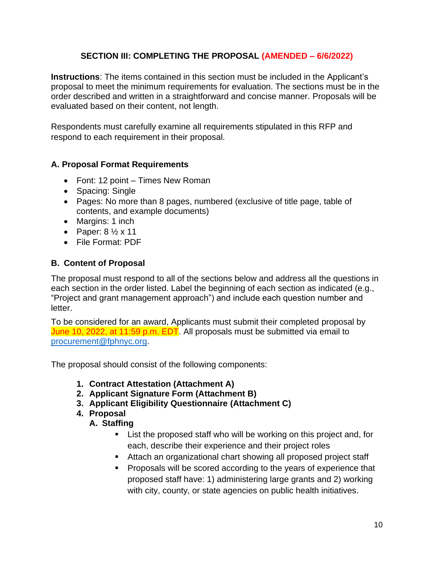#### **SECTION III: COMPLETING THE PROPOSAL (AMENDED – 6/6/2022)**

**Instructions**: The items contained in this section must be included in the Applicant's proposal to meet the minimum requirements for evaluation. The sections must be in the order described and written in a straightforward and concise manner. Proposals will be evaluated based on their content, not length.

Respondents must carefully examine all requirements stipulated in this RFP and respond to each requirement in their proposal.

#### **A. Proposal Format Requirements**

- Font: 12 point Times New Roman
- Spacing: Single
- Pages: No more than 8 pages, numbered (exclusive of title page, table of contents, and example documents)
- Margins: 1 inch
- Paper:  $8\frac{1}{2} \times 11$
- File Format: PDF

#### **B. Content of Proposal**

The proposal must respond to all of the sections below and address all the questions in each section in the order listed. Label the beginning of each section as indicated (e.g., "Project and grant management approach") and include each question number and letter.

To be considered for an award, Applicants must submit their completed proposal by June 10, 2022, at 11:59 p.m. EDT. All proposals must be submitted via email to [procurement@fphnyc.org.](mailto:procurement@fphnyc.org)

The proposal should consist of the following components:

- **1. Contract Attestation (Attachment A)**
- **2. Applicant Signature Form (Attachment B)**
- **3. Applicant Eligibility Questionnaire (Attachment C)**

#### **4. Proposal**

## **A. Staffing**

- List the proposed staff who will be working on this project and, for each, describe their experience and their project roles
- Attach an organizational chart showing all proposed project staff
- Proposals will be scored according to the years of experience that proposed staff have: 1) administering large grants and 2) working with city, county, or state agencies on public health initiatives.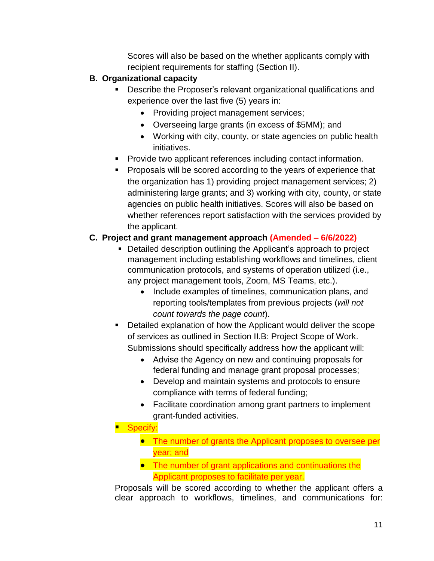Scores will also be based on the whether applicants comply with recipient requirements for staffing (Section II).

## **B. Organizational capacity**

- **EXEDE 5** Describe the Proposer's relevant organizational qualifications and experience over the last five (5) years in:
	- Providing project management services;
	- Overseeing large grants (in excess of \$5MM); and
	- Working with city, county, or state agencies on public health initiatives.
- Provide two applicant references including contact information.
- Proposals will be scored according to the years of experience that the organization has 1) providing project management services; 2) administering large grants; and 3) working with city, county, or state agencies on public health initiatives. Scores will also be based on whether references report satisfaction with the services provided by the applicant.

# **C. Project and grant management approach (Amended – 6/6/2022)**

- **Detailed description outlining the Applicant's approach to project** management including establishing workflows and timelines, client communication protocols, and systems of operation utilized (i.e., any project management tools, Zoom, MS Teams, etc.).
	- Include examples of timelines, communication plans, and reporting tools/templates from previous projects (*will not count towards the page count*).
- Detailed explanation of how the Applicant would deliver the scope of services as outlined in Section II.B: Project Scope of Work. Submissions should specifically address how the applicant will:
	- Advise the Agency on new and continuing proposals for federal funding and manage grant proposal processes;
	- Develop and maintain systems and protocols to ensure compliance with terms of federal funding;
	- Facilitate coordination among grant partners to implement grant-funded activities.
- Specify:
	- The number of grants the Applicant proposes to oversee per year; and
	- The number of grant applications and continuations the Applicant proposes to facilitate per year.

Proposals will be scored according to whether the applicant offers a clear approach to workflows, timelines, and communications for: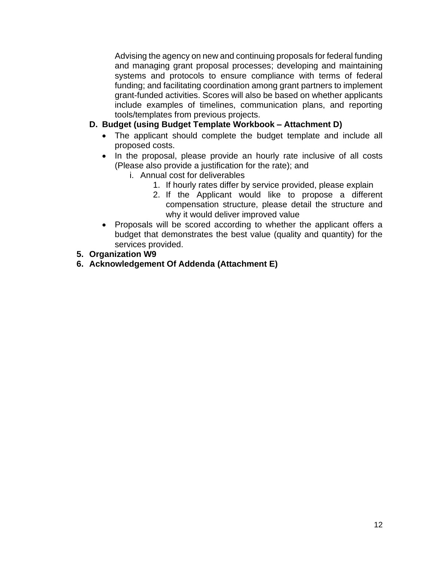Advising the agency on new and continuing proposals for federal funding and managing grant proposal processes; developing and maintaining systems and protocols to ensure compliance with terms of federal funding; and facilitating coordination among grant partners to implement grant-funded activities. Scores will also be based on whether applicants include examples of timelines, communication plans, and reporting tools/templates from previous projects.

#### **D. Budget (using Budget Template Workbook – Attachment D)**

- The applicant should complete the budget template and include all proposed costs.
- In the proposal, please provide an hourly rate inclusive of all costs (Please also provide a justification for the rate); and
	- i. Annual cost for deliverables
		- 1. If hourly rates differ by service provided, please explain
		- 2. If the Applicant would like to propose a different compensation structure, please detail the structure and why it would deliver improved value
- Proposals will be scored according to whether the applicant offers a budget that demonstrates the best value (quality and quantity) for the services provided.
- **5. Organization W9**
- **6. Acknowledgement Of Addenda (Attachment E)**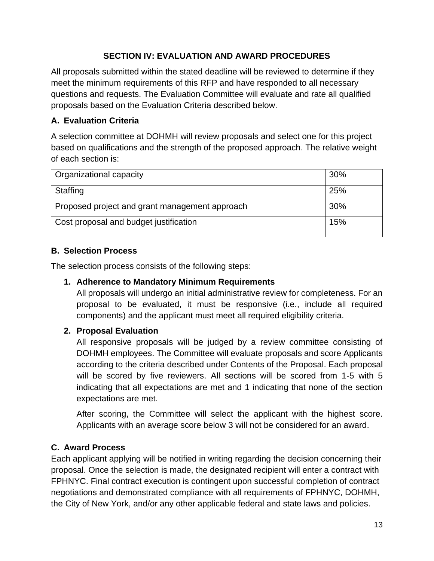## **SECTION IV: EVALUATION AND AWARD PROCEDURES**

All proposals submitted within the stated deadline will be reviewed to determine if they meet the minimum requirements of this RFP and have responded to all necessary questions and requests. The Evaluation Committee will evaluate and rate all qualified proposals based on the Evaluation Criteria described below.

# **A. Evaluation Criteria**

A selection committee at DOHMH will review proposals and select one for this project based on qualifications and the strength of the proposed approach. The relative weight of each section is:

| <b>Organizational capacity</b>                 | 30% |
|------------------------------------------------|-----|
| Staffing                                       | 25% |
| Proposed project and grant management approach | 30% |
| Cost proposal and budget justification         | 15% |

# **B. Selection Process**

The selection process consists of the following steps:

## **1. Adherence to Mandatory Minimum Requirements**

All proposals will undergo an initial administrative review for completeness. For an proposal to be evaluated, it must be responsive (i.e., include all required components) and the applicant must meet all required eligibility criteria.

## **2. Proposal Evaluation**

All responsive proposals will be judged by a review committee consisting of DOHMH employees. The Committee will evaluate proposals and score Applicants according to the criteria described under Contents of the Proposal. Each proposal will be scored by five reviewers. All sections will be scored from 1-5 with 5 indicating that all expectations are met and 1 indicating that none of the section expectations are met.

After scoring, the Committee will select the applicant with the highest score. Applicants with an average score below 3 will not be considered for an award.

## **C. Award Process**

Each applicant applying will be notified in writing regarding the decision concerning their proposal. Once the selection is made, the designated recipient will enter a contract with FPHNYC. Final contract execution is contingent upon successful completion of contract negotiations and demonstrated compliance with all requirements of FPHNYC, DOHMH, the City of New York, and/or any other applicable federal and state laws and policies.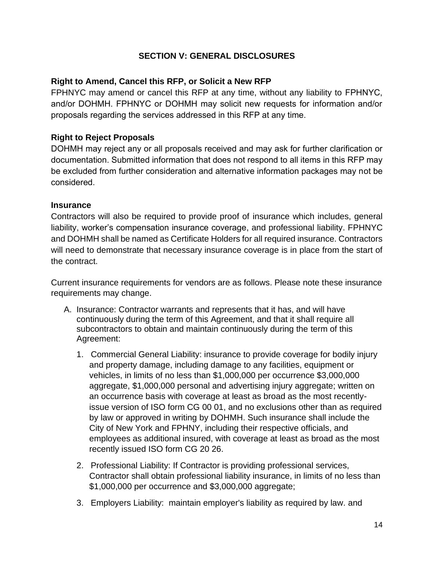#### **SECTION V: GENERAL DISCLOSURES**

#### **Right to Amend, Cancel this RFP, or Solicit a New RFP**

FPHNYC may amend or cancel this RFP at any time, without any liability to FPHNYC, and/or DOHMH. FPHNYC or DOHMH may solicit new requests for information and/or proposals regarding the services addressed in this RFP at any time.

#### **Right to Reject Proposals**

DOHMH may reject any or all proposals received and may ask for further clarification or documentation. Submitted information that does not respond to all items in this RFP may be excluded from further consideration and alternative information packages may not be considered.

#### **Insurance**

Contractors will also be required to provide proof of insurance which includes, general liability, worker's compensation insurance coverage, and professional liability. FPHNYC and DOHMH shall be named as Certificate Holders for all required insurance. Contractors will need to demonstrate that necessary insurance coverage is in place from the start of the contract.

Current insurance requirements for vendors are as follows. Please note these insurance requirements may change.

- A. Insurance: Contractor warrants and represents that it has, and will have continuously during the term of this Agreement, and that it shall require all subcontractors to obtain and maintain continuously during the term of this Agreement:
	- 1. Commercial General Liability: insurance to provide coverage for bodily injury and property damage, including damage to any facilities, equipment or vehicles, in limits of no less than \$1,000,000 per occurrence \$3,000,000 aggregate, \$1,000,000 personal and advertising injury aggregate; written on an occurrence basis with coverage at least as broad as the most recentlyissue version of ISO form CG 00 01, and no exclusions other than as required by law or approved in writing by DOHMH. Such insurance shall include the City of New York and FPHNY, including their respective officials, and employees as additional insured, with coverage at least as broad as the most recently issued ISO form CG 20 26.
	- 2. Professional Liability: If Contractor is providing professional services, Contractor shall obtain professional liability insurance, in limits of no less than \$1,000,000 per occurrence and \$3,000,000 aggregate;
	- 3. Employers Liability: maintain employer's liability as required by law. and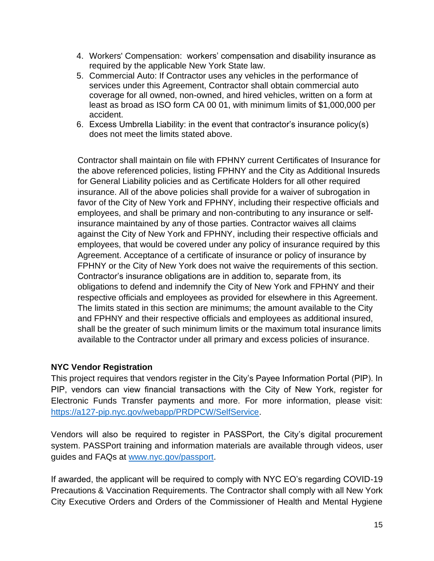- 4. Workers' Compensation: workers' compensation and disability insurance as required by the applicable New York State law.
- 5. Commercial Auto: If Contractor uses any vehicles in the performance of services under this Agreement, Contractor shall obtain commercial auto coverage for all owned, non-owned, and hired vehicles, written on a form at least as broad as ISO form CA 00 01, with minimum limits of \$1,000,000 per accident.
- 6. Excess Umbrella Liability: in the event that contractor's insurance policy(s) does not meet the limits stated above.

Contractor shall maintain on file with FPHNY current Certificates of Insurance for the above referenced policies, listing FPHNY and the City as Additional Insureds for General Liability policies and as Certificate Holders for all other required insurance. All of the above policies shall provide for a waiver of subrogation in favor of the City of New York and FPHNY, including their respective officials and employees, and shall be primary and non-contributing to any insurance or selfinsurance maintained by any of those parties. Contractor waives all claims against the City of New York and FPHNY, including their respective officials and employees, that would be covered under any policy of insurance required by this Agreement. Acceptance of a certificate of insurance or policy of insurance by FPHNY or the City of New York does not waive the requirements of this section. Contractor's insurance obligations are in addition to, separate from, its obligations to defend and indemnify the City of New York and FPHNY and their respective officials and employees as provided for elsewhere in this Agreement. The limits stated in this section are minimums; the amount available to the City and FPHNY and their respective officials and employees as additional insured, shall be the greater of such minimum limits or the maximum total insurance limits available to the Contractor under all primary and excess policies of insurance.

#### **NYC Vendor Registration**

This project requires that vendors register in the City's Payee Information Portal (PIP). In PIP, vendors can view financial transactions with the City of New York, register for Electronic Funds Transfer payments and more. For more information, please visit: [https://a127-pip.nyc.gov/webapp/PRDPCW/SelfService.](https://a127-pip.nyc.gov/webapp/PRDPCW/SelfService)

Vendors will also be required to register in PASSPort, the City's digital procurement system. PASSPort training and information materials are available through videos, user guides and FAQs at [www.nyc.gov/passport.](http://www.nyc.gov/passport)

If awarded, the applicant will be required to comply with NYC EO's regarding COVID-19 Precautions & Vaccination Requirements. The Contractor shall comply with all New York City Executive Orders and Orders of the Commissioner of Health and Mental Hygiene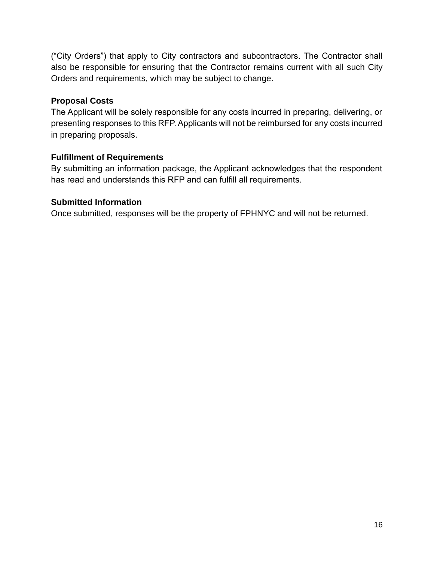("City Orders") that apply to City contractors and subcontractors. The Contractor shall also be responsible for ensuring that the Contractor remains current with all such City Orders and requirements, which may be subject to change.

#### **Proposal Costs**

The Applicant will be solely responsible for any costs incurred in preparing, delivering, or presenting responses to this RFP. Applicants will not be reimbursed for any costs incurred in preparing proposals.

## **Fulfillment of Requirements**

By submitting an information package, the Applicant acknowledges that the respondent has read and understands this RFP and can fulfill all requirements.

#### **Submitted Information**

Once submitted, responses will be the property of FPHNYC and will not be returned.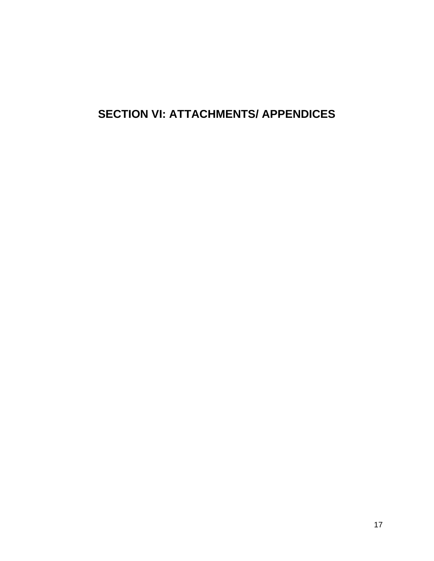# **SECTION VI: ATTACHMENTS/ APPENDICES**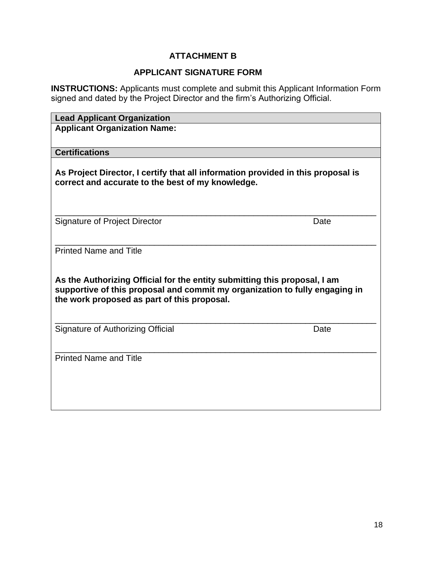# **ATTACHMENT B**

#### **APPLICANT SIGNATURE FORM**

**INSTRUCTIONS:** Applicants must complete and submit this Applicant Information Form signed and dated by the Project Director and the firm's Authorizing Official.

| <b>Lead Applicant Organization</b>                                                                                                                                                                      |      |
|---------------------------------------------------------------------------------------------------------------------------------------------------------------------------------------------------------|------|
| <b>Applicant Organization Name:</b>                                                                                                                                                                     |      |
|                                                                                                                                                                                                         |      |
| <b>Certifications</b>                                                                                                                                                                                   |      |
| As Project Director, I certify that all information provided in this proposal is<br>correct and accurate to the best of my knowledge.                                                                   |      |
| Signature of Project Director                                                                                                                                                                           | Date |
| <b>Printed Name and Title</b>                                                                                                                                                                           |      |
| As the Authorizing Official for the entity submitting this proposal, I am<br>supportive of this proposal and commit my organization to fully engaging in<br>the work proposed as part of this proposal. |      |
| Signature of Authorizing Official                                                                                                                                                                       | Date |
| <b>Printed Name and Title</b>                                                                                                                                                                           |      |
|                                                                                                                                                                                                         |      |
|                                                                                                                                                                                                         |      |
|                                                                                                                                                                                                         |      |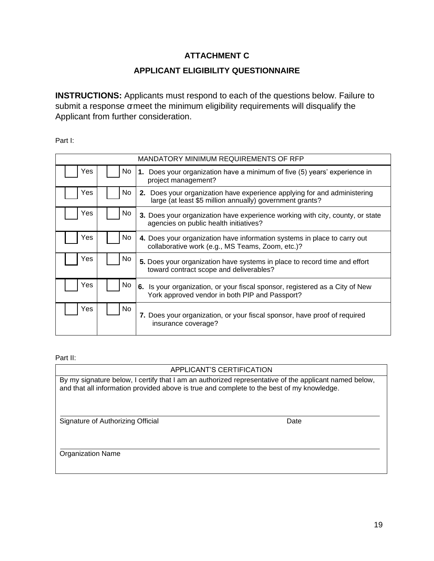#### **ATTACHMENT C**

#### **APPLICANT ELIGIBILITY QUESTIONNAIRE**

**INSTRUCTIONS:** Applicants must respond to each of the questions below. Failure to submit a response omeet the minimum eligibility requirements will disqualify the Applicant from further consideration.

Part I:

|     |     | MANDATORY MINIMUM REQUIREMENTS OF RFP                                                                                                |
|-----|-----|--------------------------------------------------------------------------------------------------------------------------------------|
| Yes | No. | Does your organization have a minimum of five (5) years' experience in<br>1.<br>project management?                                  |
| Yes | No  | 2. Does your organization have experience applying for and administering<br>large (at least \$5 million annually) government grants? |
| Yes | No. | 3. Does your organization have experience working with city, county, or state<br>agencies on public health initiatives?              |
| Yes | No. | 4. Does your organization have information systems in place to carry out<br>collaborative work (e.g., MS Teams, Zoom, etc.)?         |
| Yes | No. | 5. Does your organization have systems in place to record time and effort<br>toward contract scope and deliverables?                 |
| Yes | No. | 6. Is your organization, or your fiscal sponsor, registered as a City of New<br>York approved vendor in both PIP and Passport?       |
| Yes | No. | 7. Does your organization, or your fiscal sponsor, have proof of required<br>insurance coverage?                                     |

#### Part II:

#### APPLICANT'S CERTIFICATION

By my signature below, I certify that I am an authorized representative of the applicant named below, and that all information provided above is true and complete to the best of my knowledge.

Signature of Authorizing Official Date

Organization Name